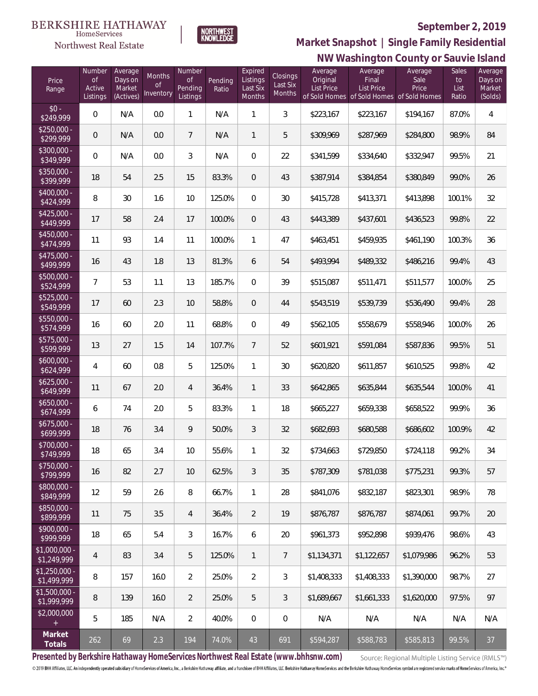#### **September 2, 2019**



NORTHWEST<br>KNOWLEDGE

Northwest Real Estate

# **NW Washington County or Sauvie Island Market Snapshot | Single Family Residential**

| Price<br>Range                    | Number<br><b>of</b><br>Active<br>Listings | Average<br>Days on<br>Market<br>(Actives) | <b>Months</b><br>Οf<br>Inventory | Number<br><b>of</b><br>Pending<br>Listings | Pending<br>Ratio | Expired<br>Listings<br>Last Six<br>Months | <b>Closings</b><br>Last Six<br>Months | Average<br>Original<br><b>List Price</b> | Average<br>Final<br><b>List Price</b><br>of Sold Homes of Sold Homes of Sold Homes | Average<br>Sale<br>Price | Sales<br>to<br>List<br>Ratio | Average<br>Days on<br>Market<br>(Solds) |
|-----------------------------------|-------------------------------------------|-------------------------------------------|----------------------------------|--------------------------------------------|------------------|-------------------------------------------|---------------------------------------|------------------------------------------|------------------------------------------------------------------------------------|--------------------------|------------------------------|-----------------------------------------|
| $$0 -$<br>\$249,999               | $\overline{0}$                            | N/A                                       | 0.0                              | 1                                          | N/A              | 1                                         | $\mathfrak{Z}$                        | \$223,167                                | \$223,167                                                                          | \$194,167                | 87.0%                        | 4                                       |
| $$250,000 -$<br>\$299,999         | 0                                         | N/A                                       | 0.0                              | $7\overline{ }$                            | N/A              | $\mathbf{1}$                              | 5                                     | \$309,969                                | \$287,969                                                                          | \$284,800                | 98.9%                        | 84                                      |
| $$300,000 -$<br>\$349,999         | $\overline{0}$                            | N/A                                       | 0.0                              | 3                                          | N/A              | $\overline{0}$                            | 22                                    | \$341,599                                | \$334,640                                                                          | \$332,947                | 99.5%                        | 21                                      |
| $$350,000 -$<br>\$399,999         | 18                                        | 54                                        | 2.5                              | 15                                         | 83.3%            | $\overline{0}$                            | 43                                    | \$387,914                                | \$384,854                                                                          | \$380,849                | 99.0%                        | 26                                      |
| $$400,000 -$<br>\$424,999         | 8                                         | 30                                        | 1.6                              | 10                                         | 125.0%           | $\Omega$                                  | 30                                    | \$415,728                                | \$413,371                                                                          | \$413,898                | 100.1%                       | 32                                      |
| $$425,000 -$<br>\$449,999         | 17                                        | 58                                        | 2.4                              | 17                                         | 100.0%           | $\overline{0}$                            | 43                                    | \$443,389                                | \$437,601                                                                          | \$436,523                | 99.8%                        | 22                                      |
| $$450,000 -$<br>\$474,999         | 11                                        | 93                                        | 1.4                              | 11                                         | 100.0%           | $\mathbf{1}$                              | 47                                    | \$463,451                                | \$459,935                                                                          | \$461,190                | 100.3%                       | 36                                      |
| $$475,000 -$<br>\$499,999         | 16                                        | 43                                        | 1.8                              | 13                                         | 81.3%            | 6                                         | 54                                    | \$493,994                                | \$489,332                                                                          | \$486,216                | 99.4%                        | 43                                      |
| $$500,000 -$<br>\$524,999         | $\overline{7}$                            | 53                                        | 1.1                              | 13                                         | 185.7%           | $\Omega$                                  | 39                                    | \$515,087                                | \$511,471                                                                          | \$511,577                | 100.0%                       | 25                                      |
| $$525,000 -$<br>\$549,999         | 17                                        | 60                                        | 2.3                              | 10                                         | 58.8%            | $\overline{0}$                            | 44                                    | \$543,519                                | \$539,739                                                                          | \$536,490                | 99.4%                        | 28                                      |
| $$550,000 -$<br>\$574,999         | 16                                        | 60                                        | 2.0                              | 11                                         | 68.8%            | $\Omega$                                  | 49                                    | \$562,105                                | \$558,679                                                                          | \$558,946                | 100.0%                       | 26                                      |
| \$575,000 -<br>\$599,999          | 13                                        | 27                                        | 1.5                              | 14                                         | 107.7%           | $\overline{7}$                            | 52                                    | \$601,921                                | \$591,084                                                                          | \$587,836                | 99.5%                        | 51                                      |
| $$600,000 -$<br>\$624,999         | 4                                         | 60                                        | 0.8                              | 5                                          | 125.0%           | $\mathbf{1}$                              | 30                                    | \$620,820                                | \$611,857                                                                          | \$610,525                | 99.8%                        | 42                                      |
| $$625,000 -$<br>\$649,999         | 11                                        | 67                                        | 2.0                              | $\overline{4}$                             | 36.4%            | $\mathbf{1}$                              | 33                                    | \$642,865                                | \$635,844                                                                          | \$635,544                | 100.0%                       | 41                                      |
| $$650,000 -$<br>\$674,999         | 6                                         | 74                                        | 2.0                              | 5                                          | 83.3%            | $\mathbf{1}$                              | 18                                    | \$665,227                                | \$659,338                                                                          | \$658,522                | 99.9%                        | 36                                      |
| $$675,000 -$<br>\$699,999         | 18                                        | 76                                        | 3.4                              | 9                                          | 50.0%            | 3                                         | 32                                    | \$682,693                                | \$680,588                                                                          | \$686,602                | 100.9%                       | 42                                      |
| \$700,000 -<br>\$749,999          | $18\,$                                    | 65                                        | 3.4                              | 10                                         | 55.6%            | 1                                         | 32                                    | \$734,663                                | \$729,850                                                                          | \$724,118                | 99.2%                        | 34                                      |
| $$750,000 -$<br>\$799,999         | 16                                        | 82                                        | 2.7                              | 10                                         | 62.5%            | 3                                         | 35                                    | \$787,309                                | \$781,038                                                                          | \$775,231                | 99.3%                        | 57                                      |
| $$800,000 -$<br>\$849,999         | 12                                        | 59                                        | 2.6                              | 8                                          | 66.7%            | $\mathbf{1}$                              | 28                                    | \$841,076                                | \$832,187                                                                          | \$823,301                | 98.9%                        | 78                                      |
| $$850,000 -$<br>\$899,999         | 11                                        | 75                                        | 3.5                              | 4                                          | 36.4%            | $\overline{2}$                            | 19                                    | \$876,787                                | \$876,787                                                                          | \$874,061                | 99.7%                        | 20                                      |
| $$900,000 -$<br>$\sqrt{2999.999}$ | 18                                        | 65                                        | 5.4                              | 3                                          | 16.7%            | 6                                         | 20                                    | \$961,373                                | \$952,898                                                                          | \$939,476                | 98.6%                        | 43                                      |
| $$1,000,000 -$<br>\$1,249,999     | $\overline{4}$                            | 83                                        | 3.4                              | 5                                          | 125.0%           | $\mathbf{1}$                              | 7                                     | \$1,134,371                              | \$1,122,657                                                                        | \$1,079,986              | 96.2%                        | 53                                      |
| $$1,250,000 -$<br>\$1,499,999     | 8                                         | 157                                       | 16.0                             | $\overline{2}$                             | 25.0%            | $\overline{2}$                            | 3                                     | \$1,408,333                              | \$1,408,333                                                                        | \$1,390,000              | 98.7%                        | 27                                      |
| $$1,500,000 -$<br>\$1,999,999     | 8                                         | 139                                       | 16.0                             | $\overline{2}$                             | 25.0%            | 5                                         | $\mathfrak{Z}$                        | \$1,689,667                              | \$1,661,333                                                                        | \$1,620,000              | 97.5%                        | 97                                      |
| \$2,000,000<br>$+$                | 5                                         | 185                                       | N/A                              | $\overline{2}$                             | 40.0%            | $\mathbf 0$                               | $\mathbf 0$                           | N/A                                      | N/A                                                                                | N/A                      | N/A                          | N/A                                     |
| Market<br>Totals                  | 262                                       | 69                                        | 2.3                              | 194                                        | 74.0%            | 43                                        | 691                                   | \$594,287                                | \$588,783                                                                          | \$585,813                | 99.5%                        | 37                                      |

**Presented by Berkshire Hathaway HomeServices Northwest Real Estate (www.bhhsnw.com)**

Source: Regional Multiple Listing Service (RMLS™)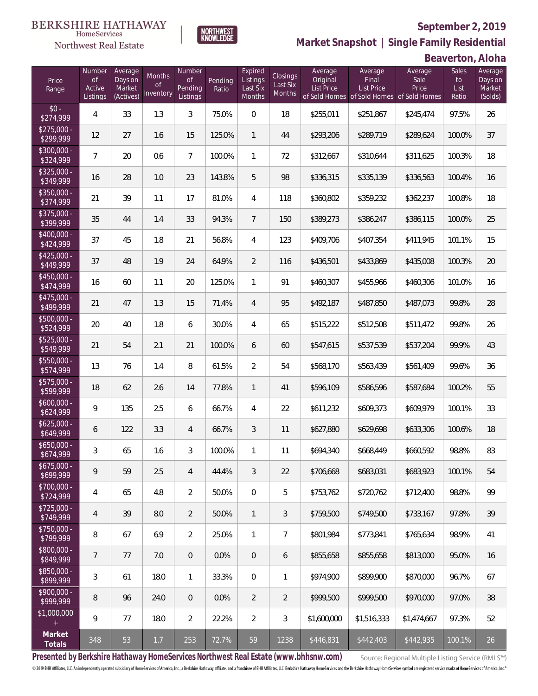#### **September 2, 2019**



**NORTHWEST**<br>KNOWLEDGE

Northwest Real Estate

**Market Snapshot | Single Family Residential**

**Beaverton, Aloha**

| Price<br>Range            | Number<br>of<br>Active<br>Listings | Average<br>Days on<br>Market<br>(Actives) | Months<br>Οf<br>Inventory | Number<br><b>of</b><br>Pending<br>Listings | Pending<br>Ratio | Expired<br>Listings<br>Last Six<br>Months | Closings<br>Last Six<br><b>Months</b> | Average<br>Original<br><b>List Price</b> | Average<br>Final<br>List Price<br>of Sold Homes of Sold Homes | Average<br>Sale<br>Price<br>of Sold Homes | Sales<br>to<br>List<br>Ratio | Average<br>Days on<br>Market<br>(Solds) |
|---------------------------|------------------------------------|-------------------------------------------|---------------------------|--------------------------------------------|------------------|-------------------------------------------|---------------------------------------|------------------------------------------|---------------------------------------------------------------|-------------------------------------------|------------------------------|-----------------------------------------|
| $$0 -$<br>\$274,999       | 4                                  | 33                                        | 1.3                       | 3                                          | 75.0%            | $\overline{0}$                            | 18                                    | \$255,011                                | \$251,867                                                     | \$245,474                                 | 97.5%                        | 26                                      |
| $$275,000 -$<br>\$299,999 | 12                                 | 27                                        | 1.6                       | 15                                         | 125.0%           | $\mathbf{1}$                              | 44                                    | \$293,206                                | \$289,719                                                     | \$289,624                                 | 100.0%                       | 37                                      |
| $$300,000 -$<br>\$324,999 | 7                                  | 20                                        | 0.6                       | $\overline{7}$                             | 100.0%           | $\mathbf{1}$                              | 72                                    | \$312,667                                | \$310,644                                                     | \$311,625                                 | 100.3%                       | 18                                      |
| $$325,000 -$<br>\$349,999 | 16                                 | 28                                        | 1.0                       | 23                                         | 143.8%           | 5                                         | 98                                    | \$336,315                                | \$335,139                                                     | \$336,563                                 | 100.4%                       | 16                                      |
| $$350,000 -$<br>\$374,999 | 21                                 | 39                                        | 1.1                       | 17                                         | 81.0%            | $\overline{4}$                            | 118                                   | \$360,802                                | \$359,232                                                     | \$362,237                                 | 100.8%                       | 18                                      |
| $$375,000 -$<br>\$399,999 | 35                                 | 44                                        | 1.4                       | 33                                         | 94.3%            | $\overline{7}$                            | 150                                   | \$389,273                                | \$386,247                                                     | \$386,115                                 | 100.0%                       | 25                                      |
| $$400,000 -$<br>\$424,999 | 37                                 | 45                                        | 1.8                       | 21                                         | 56.8%            | $\overline{4}$                            | 123                                   | \$409,706                                | \$407,354                                                     | \$411,945                                 | 101.1%                       | 15                                      |
| $$425,000 -$<br>\$449,999 | 37                                 | 48                                        | 1.9                       | 24                                         | 64.9%            | 2                                         | 116                                   | \$436,501                                | \$433,869                                                     | \$435,008                                 | 100.3%                       | 20                                      |
| $$450,000 -$<br>\$474,999 | 16                                 | 60                                        | 1.1                       | 20                                         | 125.0%           | $\mathbf{1}$                              | 91                                    | \$460,307                                | \$455,966                                                     | \$460,306                                 | 101.0%                       | 16                                      |
| $$475,000 -$<br>\$499,999 | 21                                 | 47                                        | 1.3                       | 15                                         | 71.4%            | $\overline{4}$                            | 95                                    | \$492,187                                | \$487,850                                                     | \$487,073                                 | 99.8%                        | 28                                      |
| $$500,000 -$<br>\$524,999 | 20                                 | 40                                        | 1.8                       | 6                                          | 30.0%            | $\overline{4}$                            | 65                                    | \$515,222                                | \$512,508                                                     | \$511,472                                 | 99.8%                        | 26                                      |
| $$525,000 -$<br>\$549,999 | 21                                 | 54                                        | 2.1                       | 21                                         | 100.0%           | 6                                         | 60                                    | \$547,615                                | \$537,539                                                     | \$537,204                                 | 99.9%                        | 43                                      |
| $$550,000 -$<br>\$574,999 | 13                                 | 76                                        | 1.4                       | $\, 8$                                     | 61.5%            | $\overline{2}$                            | 54                                    | \$568,170                                | \$563,439                                                     | \$561,409                                 | 99.6%                        | 36                                      |
| $$575,000 -$<br>\$599,999 | 18                                 | 62                                        | 2.6                       | 14                                         | 77.8%            | $\mathbf{1}$                              | 41                                    | \$596,109                                | \$586,596                                                     | \$587,684                                 | 100.2%                       | 55                                      |
| $$600,000 -$<br>\$624,999 | 9                                  | 135                                       | 2.5                       | 6                                          | 66.7%            | $\overline{4}$                            | 22                                    | \$611,232                                | \$609,373                                                     | \$609,979                                 | 100.1%                       | 33                                      |
| $$625,000 -$<br>\$649,999 | 6                                  | 122                                       | 3.3                       | $\overline{4}$                             | 66.7%            | 3                                         | 11                                    | \$627,880                                | \$629,698                                                     | \$633,306                                 | 100.6%                       | 18                                      |
| $$650,000 -$<br>\$674,999 | 3                                  | 65                                        | 1.6                       | 3                                          | 100.0%           | $\mathbf{1}$                              | 11                                    | \$694,340                                | \$668,449                                                     | \$660,592                                 | 98.8%                        | 83                                      |
| $$675,000 -$<br>\$699,999 | 9                                  | 59                                        | 2.5                       | 4                                          | 44.4%            | 3                                         | 22                                    | \$706,668                                | \$683,031                                                     | \$683,923                                 | 100.1%                       | 54                                      |
| $$700,000 -$<br>\$724,999 | 4                                  | 65                                        | 4.8                       | $\overline{2}$                             | 50.0%            | $\boldsymbol{0}$                          | 5                                     | \$753,762                                | \$720,762                                                     | \$712,400                                 | 98.8%                        | 99                                      |
| $$725,000 -$<br>\$749,999 | $\overline{4}$                     | 39                                        | 8.0                       | $\overline{2}$                             | 50.0%            | $\mathbf{1}$                              | 3                                     | \$759,500                                | \$749,500                                                     | \$733,167                                 | 97.8%                        | 39                                      |
| $$750,000 -$<br>\$799,999 | 8                                  | 67                                        | 6.9                       | $\overline{2}$                             | 25.0%            | $\mathbf{1}$                              | $\overline{7}$                        | \$801,984                                | \$773,841                                                     | \$765,634                                 | 98.9%                        | 41                                      |
| $$800,000 -$<br>\$849,999 | 7                                  | 77                                        | 7.0                       | $\overline{0}$                             | 0.0%             | $\overline{0}$                            | 6                                     | \$855,658                                | \$855,658                                                     | \$813,000                                 | 95.0%                        | 16                                      |
| $$850,000 -$<br>\$899,999 | 3                                  | 61                                        | 18.0                      | $\mathbf{1}$                               | 33.3%            | 0                                         | 1                                     | \$974,900                                | \$899,900                                                     | \$870,000                                 | 96.7%                        | 67                                      |
| $$900,000 -$<br>\$999,999 | 8                                  | 96                                        | 24.0                      | $\overline{0}$                             | 0.0%             | $\overline{2}$                            | $\overline{2}$                        | \$999,500                                | \$999,500                                                     | \$970,000                                 | 97.0%                        | 38                                      |
| \$1,000,000<br>$+$        | 9                                  | 77                                        | 18.0                      | $\overline{2}$                             | 22.2%            | $\overline{2}$                            | $\sqrt{3}$                            | \$1,600,000                              | \$1,516,333                                                   | \$1,474,667                               | 97.3%                        | 52                                      |
| Market<br>Totals          | 348                                | 53                                        | 1.7                       | 253                                        | 72.7%            | 59                                        | 1238                                  | \$446,831                                | \$442,403                                                     | \$442,935                                 | 100.1%                       | 26                                      |

**Presented by Berkshire Hathaway HomeServices Northwest Real Estate (www.bhhsnw.com)**

Source: Regional Multiple Listing Service (RMLS™)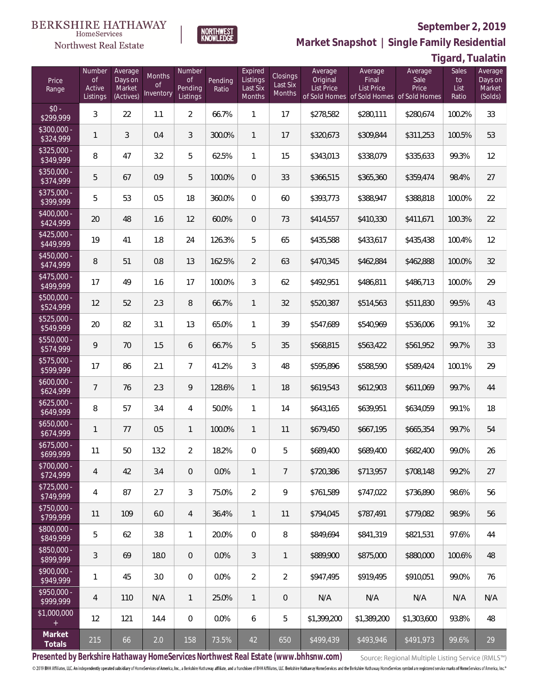### **September 2, 2019**



**NORTHWEST**<br>KNOWLEDGE

Northwest Real Estate

**Market Snapshot | Single Family Residential**

**Tigard, Tualatin**

| Price<br>Range            | Number<br><b>of</b><br>Active<br>Listings | Average<br>Days on<br>Market<br>(Actives) | Months<br>0f<br>Inventory | Number<br><b>of</b><br>Pending<br>Listings | Pending<br>Ratio | Expired<br>Listings<br>Last Six<br>Months | Closings<br>Last Six<br>Months | Average<br>Original<br>List Price | Average<br>Final<br><b>List Price</b><br>of Sold Homes of Sold Homes of Sold Homes | Average<br>Sale<br>Price | Sales<br>to<br>List<br>Ratio | Average<br>Days on<br>Market<br>(Solds) |
|---------------------------|-------------------------------------------|-------------------------------------------|---------------------------|--------------------------------------------|------------------|-------------------------------------------|--------------------------------|-----------------------------------|------------------------------------------------------------------------------------|--------------------------|------------------------------|-----------------------------------------|
| $$0 -$<br>\$299,999       | 3                                         | 22                                        | 1.1                       | $\overline{2}$                             | 66.7%            | $\mathbf{1}$                              | 17                             | \$278,582                         | \$280,111                                                                          | \$280,674                | 100.2%                       | 33                                      |
| \$300,000 -<br>\$324,999  | 1                                         | 3                                         | 0.4                       | 3                                          | 300.0%           | $\mathbf{1}$                              | 17                             | \$320,673                         | \$309,844                                                                          | \$311,253                | 100.5%                       | 53                                      |
| $$325,000 -$<br>\$349,999 | 8                                         | 47                                        | 3.2                       | 5                                          | 62.5%            | $\mathbf{1}$                              | 15                             | \$343,013                         | \$338,079                                                                          | \$335,633                | 99.3%                        | 12                                      |
| $$350,000 -$<br>\$374,999 | 5                                         | 67                                        | 0.9                       | 5                                          | 100.0%           | $\overline{0}$                            | 33                             | \$366,515                         | \$365,360                                                                          | \$359,474                | 98.4%                        | 27                                      |
| $$375,000 -$<br>\$399,999 | 5                                         | 53                                        | 0.5                       | 18                                         | 360.0%           | $\Omega$                                  | 60                             | \$393,773                         | \$388,947                                                                          | \$388,818                | 100.0%                       | 22                                      |
| $$400,000 -$<br>\$424,999 | 20                                        | 48                                        | 1.6                       | 12                                         | 60.0%            | $\overline{0}$                            | 73                             | \$414,557                         | \$410,330                                                                          | \$411,671                | 100.3%                       | 22                                      |
| $$425,000 -$<br>\$449,999 | 19                                        | 41                                        | 1.8                       | 24                                         | 126.3%           | 5                                         | 65                             | \$435,588                         | \$433,617                                                                          | \$435,438                | 100.4%                       | 12                                      |
| $$450,000 -$<br>\$474,999 | 8                                         | 51                                        | 0.8                       | 13                                         | 162.5%           | $\overline{2}$                            | 63                             | \$470,345                         | \$462,884                                                                          | \$462,888                | 100.0%                       | 32                                      |
| $$475,000 -$<br>\$499,999 | 17                                        | 49                                        | 1.6                       | 17                                         | 100.0%           | 3                                         | 62                             | \$492,951                         | \$486,811                                                                          | \$486,713                | 100.0%                       | 29                                      |
| $$500,000 -$<br>\$524,999 | 12                                        | 52                                        | 2.3                       | 8                                          | 66.7%            | $\mathbf{1}$                              | 32                             | \$520,387                         | \$514,563                                                                          | \$511,830                | 99.5%                        | 43                                      |
| $$525,000 -$<br>\$549,999 | 20                                        | 82                                        | 3.1                       | 13                                         | 65.0%            | $\mathbf{1}$                              | 39                             | \$547,689                         | \$540,969                                                                          | \$536,006                | 99.1%                        | 32                                      |
| \$550,000 -<br>\$574,999  | 9                                         | 70                                        | 1.5                       | 6                                          | 66.7%            | 5                                         | 35                             | \$568,815                         | \$563,422                                                                          | \$561,952                | 99.7%                        | 33                                      |
| \$575,000 -<br>\$599,999  | 17                                        | 86                                        | 2.1                       | $\overline{7}$                             | 41.2%            | 3                                         | 48                             | \$595,896                         | \$588,590                                                                          | \$589,424                | 100.1%                       | 29                                      |
| $$600,000 -$<br>\$624,999 | $\overline{7}$                            | 76                                        | 2.3                       | 9                                          | 128.6%           | $\mathbf{1}$                              | 18                             | \$619,543                         | \$612,903                                                                          | \$611,069                | 99.7%                        | 44                                      |
| $$625,000 -$<br>\$649,999 | 8                                         | 57                                        | 3.4                       | 4                                          | 50.0%            | $\mathbf{1}$                              | 14                             | \$643,165                         | \$639,951                                                                          | \$634,059                | 99.1%                        | 18                                      |
| $$650,000 -$<br>\$674,999 | 1                                         | 77                                        | 0.5                       | $\mathbf{1}$                               | 100.0%           | $\mathbf{1}$                              | 11                             | \$679,450                         | \$667,195                                                                          | \$665.354                | 99.7%                        | 54                                      |
| $$675,000 -$<br>\$699,999 | 11                                        | 50                                        | 13.2                      | $\overline{2}$                             | 18.2%            | $\overline{0}$                            | 5                              | \$689,400                         | \$689,400                                                                          | \$682,400                | 99.0%                        | 26                                      |
| \$700,000 -<br>\$724,999  | 4                                         | 42                                        | 3.4                       | $\theta$                                   | 0.0%             | $\mathbf{1}$                              | $\overline{7}$                 | \$720,386                         | \$713,957                                                                          | \$708,148                | 99.2%                        | 27                                      |
| $$725,000 -$<br>\$749,999 | 4                                         | 87                                        | 2.7                       | 3                                          | 75.0%            | $\overline{2}$                            | 9                              | \$761,589                         | \$747,022                                                                          | \$736,890                | 98.6%                        | 56                                      |
| \$750,000 -<br>\$799,999  | 11                                        | 109                                       | 6.0                       | $\overline{4}$                             | 36.4%            | $\mathbf{1}$                              | 11                             | \$794,045                         | \$787,491                                                                          | \$779,082                | 98.9%                        | 56                                      |
| \$800,000 -<br>849,999    | 5                                         | 62                                        | 3.8                       | $\mathbf{1}$                               | 20.0%            | $\boldsymbol{0}$                          | 8                              | \$849,694                         | \$841,319                                                                          | \$821,531                | 97.6%                        | 44                                      |
| \$850,000 -<br>\$899,999  | 3                                         | 69                                        | 18.0                      | $\overline{0}$                             | 0.0%             | 3                                         | $\mathbf{1}$                   | \$889,900                         | \$875,000                                                                          | \$880,000                | 100.6%                       | 48                                      |
| $$900,000 -$<br>\$949,999 | 1                                         | 45                                        | 3.0                       | $\mathbf 0$                                | 0.0%             | $\overline{2}$                            | $\overline{2}$                 | \$947,495                         | \$919,495                                                                          | \$910,051                | 99.0%                        | 76                                      |
| $$950,000 -$<br>\$999,999 | $\overline{4}$                            | 110                                       | N/A                       | $\mathbf{1}$                               | 25.0%            | $\mathbf{1}$                              | $\mathbf 0$                    | N/A                               | N/A                                                                                | N/A                      | N/A                          | N/A                                     |
| \$1,000,000<br>$+$        | 12                                        | 121                                       | 14.4                      | $\overline{0}$                             | 0.0%             | 6                                         | 5                              | \$1,399,200                       | \$1,389,200                                                                        | \$1,303,600              | 93.8%                        | 48                                      |
| Market<br>Totals          | 215                                       | 66                                        | 2.0                       | 158                                        | 73.5%            | 42                                        | 650                            | \$499,439                         | \$493,946                                                                          | \$491,973                | 99.6%                        | 29                                      |

**Presented by Berkshire Hathaway HomeServices Northwest Real Estate (www.bhhsnw.com)**

Source: Regional Multiple Listing Service (RMLS™)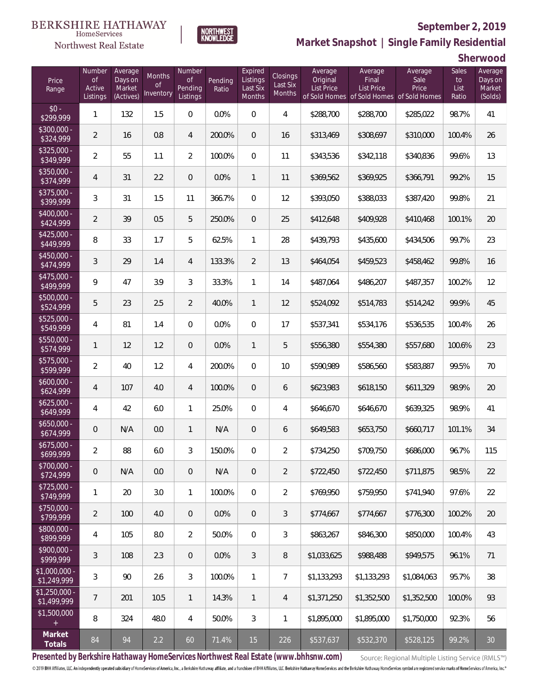#### **BERKSHIRE HATHAWAY** HomeServices

**NORTHWEST**<br>KNOWLEDGE



### **September 2, 2019**



**Sherwood**

| Price<br>Range                | Number<br><b>of</b><br>Active<br>Listings | Average<br>Days on<br>Market<br>(Actives) | Months<br>Οf<br>Inventory | Number<br><b>of</b><br>Pending<br>Listings | Pending<br>Ratio | Expired<br>Listings<br>Last Six<br>Months | Closings<br>Last Six<br>Months | Average<br>Original<br><b>List Price</b> | Average<br>Final<br>List Price<br>of Sold Homes of Sold Homes of Sold Homes | Average<br>Sale<br>Price | Sales<br>to<br>List<br>Ratio | Average<br>Days on<br>Market<br>(Solds) |
|-------------------------------|-------------------------------------------|-------------------------------------------|---------------------------|--------------------------------------------|------------------|-------------------------------------------|--------------------------------|------------------------------------------|-----------------------------------------------------------------------------|--------------------------|------------------------------|-----------------------------------------|
| $$0 -$<br>\$299,999           | $\mathbf{1}$                              | 132                                       | 1.5                       | $\overline{0}$                             | 0.0%             | $\overline{0}$                            | $\overline{4}$                 | \$288,700                                | \$288,700                                                                   | \$285,022                | 98.7%                        | 41                                      |
| $$300,000 -$<br>\$324,999     | $\overline{2}$                            | 16                                        | 0.8                       | 4                                          | 200.0%           | $\overline{0}$                            | 16                             | \$313,469                                | \$308,697                                                                   | \$310,000                | 100.4%                       | 26                                      |
| $$325,000 -$<br>\$349,999     | $\overline{a}$                            | 55                                        | 1.1                       | $\overline{2}$                             | 100.0%           | $\mathbf{0}$                              | 11                             | \$343,536                                | \$342,118                                                                   | \$340,836                | 99.6%                        | 13                                      |
| $$350,000 -$<br>\$374,999     | $\overline{4}$                            | 31                                        | 2.2                       | $\overline{0}$                             | 0.0%             | $\mathbf{1}$                              | 11                             | \$369,562                                | \$369,925                                                                   | \$366,791                | 99.2%                        | 15                                      |
| $$375,000 -$<br>\$399,999     | $\mathfrak{Z}$                            | 31                                        | 1.5                       | 11                                         | 366.7%           | $\overline{0}$                            | 12                             | \$393,050                                | \$388,033                                                                   | \$387,420                | 99.8%                        | 21                                      |
| $$400,000 -$<br>\$424,999     | $\overline{2}$                            | 39                                        | 0.5                       | 5                                          | 250.0%           | $\overline{0}$                            | 25                             | \$412,648                                | \$409,928                                                                   | \$410,468                | 100.1%                       | 20                                      |
| $$425,000 -$<br>\$449,999     | 8                                         | 33                                        | 1.7                       | 5                                          | 62.5%            | $\mathbf{1}$                              | 28                             | \$439,793                                | \$435,600                                                                   | \$434,506                | 99.7%                        | 23                                      |
| $$450,000 -$<br>\$474,999     | 3                                         | 29                                        | 1.4                       | 4                                          | 133.3%           | $\overline{2}$                            | 13                             | \$464,054                                | \$459,523                                                                   | \$458,462                | 99.8%                        | 16                                      |
| $$475,000 -$<br>\$499,999     | 9                                         | 47                                        | 3.9                       | 3                                          | 33.3%            | $\mathbf{1}$                              | 14                             | \$487,064                                | \$486,207                                                                   | \$487,357                | 100.2%                       | 12                                      |
| $$500,000 -$<br>\$524,999     | 5                                         | 23                                        | 2.5                       | $\overline{2}$                             | 40.0%            | $\mathbf{1}$                              | 12                             | \$524,092                                | \$514,783                                                                   | \$514,242                | 99.9%                        | 45                                      |
| $$525,000 -$<br>\$549,999     | 4                                         | 81                                        | 1.4                       | $\overline{0}$                             | 0.0%             | $\overline{0}$                            | 17                             | \$537,341                                | \$534,176                                                                   | \$536,535                | 100.4%                       | 26                                      |
| \$550,000 -<br>\$574,999      | $\mathbf{1}$                              | 12                                        | 1.2                       | $\overline{0}$                             | 0.0%             | $\mathbf{1}$                              | 5                              | \$556,380                                | \$554,380                                                                   | \$557,680                | 100.6%                       | 23                                      |
| $$575,000 -$<br>\$599,999     | $\overline{a}$                            | 40                                        | 1.2                       | 4                                          | 200.0%           | $\overline{0}$                            | 10                             | \$590,989                                | \$586,560                                                                   | \$583,887                | 99.5%                        | 70                                      |
| $$600,000 -$<br>\$624,999     | 4                                         | 107                                       | 4.0                       | 4                                          | 100.0%           | $\overline{0}$                            | 6                              | \$623,983                                | \$618,150                                                                   | \$611,329                | 98.9%                        | 20                                      |
| $$625,000 -$<br>\$649,999     | 4                                         | 42                                        | 6.0                       | 1                                          | 25.0%            | $\mathbf{0}$                              | 4                              | \$646,670                                | \$646,670                                                                   | \$639,325                | 98.9%                        | 41                                      |
| $$650,000 -$<br>\$674,999     | 0                                         | N/A                                       | 0.0                       | $\mathbf{1}$                               | N/A              | $\overline{0}$                            | 6                              | \$649,583                                | \$653,750                                                                   | \$660,717                | 101.1%                       | 34                                      |
| $$675,000 -$<br>\$699,999     | $\overline{a}$                            | 88                                        | 6.0                       | 3                                          | 150.0%           | $\overline{0}$                            | $\overline{2}$                 | \$734,250                                | \$709,750                                                                   | \$686,000                | 96.7%                        | 115                                     |
| \$700,000 -<br>\$724,999      | $\mathsf{O}\xspace$                       | N/A                                       | 0.0                       | $\mathbf 0$                                | N/A              | 0                                         | $\overline{2}$                 | \$722,450                                | \$722,450                                                                   | \$711,875                | 98.5%                        | 22                                      |
| $$725,000 -$<br>\$749,999     | 1                                         | 20                                        | 3.0                       | $\mathbf{1}$                               | 100.0%           | $\mathbf 0$                               | $\overline{2}$                 | \$769,950                                | \$759,950                                                                   | \$741,940                | 97.6%                        | 22                                      |
| \$750,000 -<br>\$799,999      | $\overline{2}$                            | 100                                       | 4.0                       | $\overline{0}$                             | 0.0%             | $\overline{0}$                            | 3                              | \$774,667                                | \$774,667                                                                   | \$776,300                | 100.2%                       | 20                                      |
| \$800,000 -<br>\$899,999      | 4                                         | 105                                       | 8.0                       | $\overline{2}$                             | 50.0%            | $\mathbf 0$                               | $\mathfrak{Z}$                 | \$863,267                                | \$846,300                                                                   | \$850,000                | 100.4%                       | 43                                      |
| \$900,000 -<br>\$999,999      | $\sqrt{3}$                                | 108                                       | 2.3                       | $\overline{0}$                             | 0.0%             | $\mathfrak{Z}$                            | $\, 8$                         | \$1,033,625                              | \$988,488                                                                   | \$949,575                | 96.1%                        | 71                                      |
| \$1,000,000 -<br>\$1,249,999  | 3                                         | 90                                        | 2.6                       | 3                                          | 100.0%           | $\mathbf{1}$                              | $\overline{7}$                 | \$1,133,293                              | \$1,133,293                                                                 | \$1,084,063              | 95.7%                        | 38                                      |
| $$1,250,000 -$<br>\$1,499,999 | $\overline{7}$                            | 201                                       | 10.5                      | $\mathbf{1}$                               | 14.3%            | $\overline{1}$                            | $\overline{4}$                 | \$1,371,250                              | \$1,352,500                                                                 | \$1,352,500              | 100.0%                       | 93                                      |
| \$1,500,000<br>$+$            | 8                                         | 324                                       | 48.0                      | 4                                          | 50.0%            | $\mathfrak{Z}$                            | $\mathbf{1}$                   | \$1,895,000                              | \$1,895,000                                                                 | \$1,750,000              | 92.3%                        | 56                                      |
| Market<br>Totals              | 84                                        | 94                                        | 2.2                       | 60                                         | 71.4%            | 15                                        | 226                            | \$537,637                                | \$532,370                                                                   | \$528,125                | 99.2%                        | $30\,$                                  |

**Presented by Berkshire Hathaway HomeServices Northwest Real Estate (www.bhhsnw.com)**

Source: Regional Multiple Listing Service (RMLS™)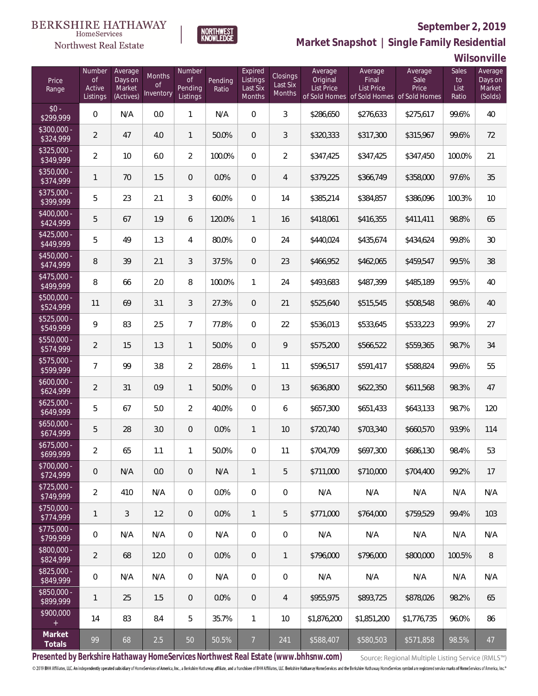#### **BERKSHIRE HATHAWAY** HomeServices

### Northwest Real Estate

### **September 2, 2019**



**Market Snapshot | Single Family Residential**

**Wilsonville**

| Price<br>Range            | Number<br><b>of</b><br>Active<br>Listings | Average<br>Days on<br>Market<br>(Actives) | Months<br>Οf<br>Inventory | Number<br><b>of</b><br>Pending<br>Listings | Pending<br>Ratio | Expired<br>Listings<br>Last Six<br>Months | Closings<br>Last Six<br>Months | Average<br>Original<br><b>List Price</b> | Average<br>Final<br><b>List Price</b><br>of Sold Homes of Sold Homes of Sold Homes | Average<br>Sale<br>Price | <b>Sales</b><br>to<br>List<br>Ratio | Average<br>Days on<br>Market<br>(Solds) |
|---------------------------|-------------------------------------------|-------------------------------------------|---------------------------|--------------------------------------------|------------------|-------------------------------------------|--------------------------------|------------------------------------------|------------------------------------------------------------------------------------|--------------------------|-------------------------------------|-----------------------------------------|
| $$0 -$<br>\$299,999       | 0                                         | N/A                                       | 0.0                       | 1                                          | N/A              | $\overline{0}$                            | 3                              | \$286,650                                | \$276,633                                                                          | \$275,617                | 99.6%                               | 40                                      |
| $$300,000 -$<br>\$324,999 | $\overline{2}$                            | 47                                        | 4.0                       | $\mathbf{1}$                               | 50.0%            | $\overline{0}$                            | 3                              | \$320,333                                | \$317,300                                                                          | \$315,967                | 99.6%                               | 72                                      |
| $$325,000 -$<br>\$349,999 | $\overline{2}$                            | 10                                        | 6.0                       | $\overline{2}$                             | 100.0%           | $\overline{0}$                            | $\overline{2}$                 | \$347,425                                | \$347,425                                                                          | \$347,450                | 100.0%                              | 21                                      |
| $$350,000 -$<br>\$374,999 | 1                                         | 70                                        | 1.5                       | 0                                          | 0.0%             | $\overline{0}$                            | 4                              | \$379,225                                | \$366,749                                                                          | \$358,000                | 97.6%                               | 35                                      |
| $$375,000 -$<br>\$399,999 | 5                                         | 23                                        | 2.1                       | 3                                          | 60.0%            | $\overline{0}$                            | 14                             | \$385,214                                | \$384,857                                                                          | \$386,096                | 100.3%                              | 10                                      |
| $$400,000 -$<br>\$424,999 | 5                                         | 67                                        | 1.9                       | 6                                          | 120.0%           | $\mathbf{1}$                              | 16                             | \$418,061                                | \$416,355                                                                          | \$411,411                | 98.8%                               | 65                                      |
| $$425,000 -$<br>\$449,999 | 5                                         | 49                                        | 1.3                       | 4                                          | 80.0%            | $\overline{0}$                            | 24                             | \$440,024                                | \$435,674                                                                          | \$434,624                | 99.8%                               | 30                                      |
| $$450,000 -$<br>\$474,999 | 8                                         | 39                                        | 2.1                       | 3                                          | 37.5%            | $\overline{0}$                            | 23                             | \$466,952                                | \$462,065                                                                          | \$459,547                | 99.5%                               | 38                                      |
| $$475,000 -$<br>\$499,999 | 8                                         | 66                                        | 2.0                       | 8                                          | 100.0%           | $\mathbf{1}$                              | 24                             | \$493,683                                | \$487,399                                                                          | \$485,189                | 99.5%                               | 40                                      |
| \$500,000 -<br>\$524,999  | 11                                        | 69                                        | 3.1                       | 3                                          | 27.3%            | $\overline{0}$                            | 21                             | \$525,640                                | \$515,545                                                                          | \$508,548                | 98.6%                               | 40                                      |
| \$525,000 -<br>\$549,999  | 9                                         | 83                                        | 2.5                       | $\overline{7}$                             | 77.8%            | $\overline{0}$                            | 22                             | \$536,013                                | \$533,645                                                                          | \$533,223                | 99.9%                               | 27                                      |
| $$550,000 -$<br>\$574,999 | $\overline{2}$                            | 15                                        | 1.3                       | $\mathbf{1}$                               | 50.0%            | $\overline{0}$                            | 9                              | \$575,200                                | \$566,522                                                                          | \$559,365                | 98.7%                               | 34                                      |
| \$575,000 -<br>\$599,999  | 7                                         | 99                                        | 3.8                       | $\overline{2}$                             | 28.6%            | $\mathbf{1}$                              | 11                             | \$596,517                                | \$591,417                                                                          | \$588,824                | 99.6%                               | 55                                      |
| $$600,000 -$<br>\$624,999 | $\overline{2}$                            | 31                                        | 0.9                       | $\mathbf{1}$                               | 50.0%            | $\overline{0}$                            | 13                             | \$636,800                                | \$622,350                                                                          | \$611,568                | 98.3%                               | 47                                      |
| $$625,000 -$<br>\$649,999 | 5                                         | 67                                        | 5.0                       | $\overline{2}$                             | 40.0%            | $\overline{0}$                            | 6                              | \$657,300                                | \$651,433                                                                          | \$643,133                | 98.7%                               | 120                                     |
| $$650,000 -$<br>\$674,999 | 5                                         | 28                                        | 3.0                       | $\overline{0}$                             | 0.0%             | $\mathbf{1}$                              | 10                             | \$720,740                                | \$703,340                                                                          | \$660,570                | 93.9%                               | 114                                     |
| $$675,000 -$<br>\$699,999 | $\overline{2}$                            | 65                                        | 1.1                       | 1                                          | 50.0%            | $\overline{0}$                            | 11                             | \$704,709                                | \$697,300                                                                          | \$686,130                | 98.4%                               | 53                                      |
| \$700,000 -<br>\$724,999  | 0                                         | N/A                                       | 0.0                       | $\mathbf 0$                                | N/A              | $\mathbf{1}$                              | 5                              | \$711,000                                | \$710,000                                                                          | \$704,400                | 99.2%                               | 17                                      |
| $$725,000 -$<br>\$749,999 | $\overline{2}$                            | 410                                       | N/A                       | $\boldsymbol{0}$                           | 0.0%             | $\mathbf 0$                               | $\mathbf 0$                    | N/A                                      | N/A                                                                                | N/A                      | N/A                                 | N/A                                     |
| \$750,000 -<br>\$774,999  | $\mathbf{1}$                              | 3                                         | 1.2                       | $\overline{0}$                             | 0.0%             | $\mathbf{1}$                              | 5                              | \$771,000                                | \$764,000                                                                          | \$759,529                | 99.4%                               | 103                                     |
| $$775,000 -$<br>\$799,999 | 0                                         | N/A                                       | N/A                       | $\overline{0}$                             | N/A              | $\mathbf 0$                               | $\,0\,$                        | N/A                                      | N/A                                                                                | N/A                      | N/A                                 | N/A                                     |
| \$800,000 -<br>\$824,999  | $\overline{2}$                            | 68                                        | 12.0                      | $\overline{0}$                             | 0.0%             | $\overline{0}$                            | $\mathbf{1}$                   | \$796,000                                | \$796,000                                                                          | \$800,000                | 100.5%                              | $\, 8$                                  |
| \$825,000 -<br>\$849,999  | 0                                         | N/A                                       | N/A                       | $\overline{0}$                             | N/A              | $\mathbf 0$                               | $\,0\,$                        | N/A                                      | N/A                                                                                | N/A                      | N/A                                 | N/A                                     |
| \$850,000 -<br>\$899,999  | $\mathbf{1}$                              | 25                                        | 1.5                       | $\overline{0}$                             | 0.0%             | $\overline{0}$                            | $\overline{4}$                 | \$955,975                                | \$893,725                                                                          | \$878,026                | 98.2%                               | 65                                      |
| \$900,000<br>$\pm$        | 14                                        | 83                                        | 8.4                       | 5                                          | 35.7%            | $\mathbf{1}$                              | 10                             | \$1,876,200                              | \$1,851,200                                                                        | \$1,776,735              | 96.0%                               | 86                                      |
| Market<br>Totals          | 99                                        | 68                                        | 2.5                       | 50                                         | 50.5%            | $\overline{7}$                            | 241                            | \$588,407                                | \$580,503                                                                          | \$571,858                | 98.5%                               | 47                                      |

**Presented by Berkshire Hathaway HomeServices Northwest Real Estate (www.bhhsnw.com)**

Source: Regional Multiple Listing Service (RMLS™)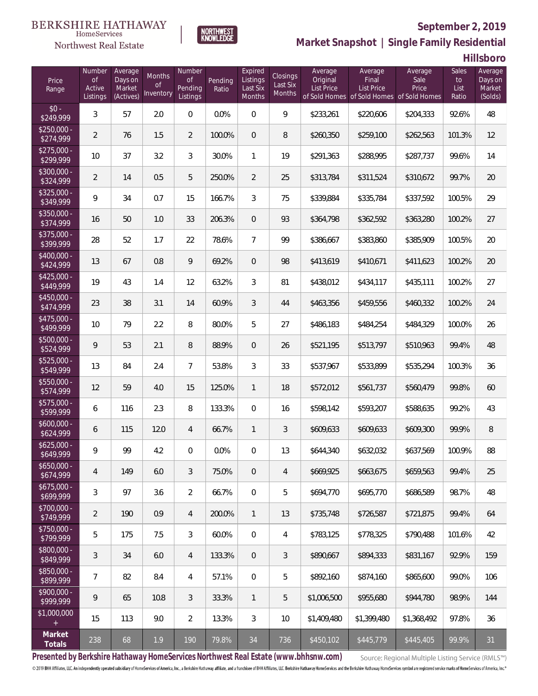#### **BERKSHIRE HATHAWAY** HomeServices

## Northwest Real Estate



### **September 2, 2019**

**Market Snapshot | Single Family Residential**

**Hillsboro**

| Price<br>Range            | Number<br>$\mathsf{of}$<br>Active<br>Listings | Average<br>Days on<br>Market<br>(Actives) | Months<br><b>of</b><br>Inventory | Number<br>Οf<br>Pending<br>Listings | Pending<br>Ratio | Expired<br>Listings<br>Last Six<br><b>Months</b> | Closings<br>Last Six<br>Months | Average<br>Original<br>List Price | Average<br>Final<br><b>List Price</b><br>of Sold Homes of Sold Homes of Sold Homes | Average<br>Sale<br>Price | Sales<br>to<br>List<br>Ratio | Average<br>Days on<br>Market<br>(Solds) |
|---------------------------|-----------------------------------------------|-------------------------------------------|----------------------------------|-------------------------------------|------------------|--------------------------------------------------|--------------------------------|-----------------------------------|------------------------------------------------------------------------------------|--------------------------|------------------------------|-----------------------------------------|
| $$0 -$<br>\$249,999       | 3                                             | 57                                        | 2.0                              | $\overline{0}$                      | 0.0%             | $\Omega$                                         | 9                              | \$233,261                         | \$220,606                                                                          | \$204,333                | 92.6%                        | 48                                      |
| $$250.000 -$<br>\$274,999 | $\overline{2}$                                | 76                                        | 1.5                              | $\overline{2}$                      | 100.0%           | $\overline{0}$                                   | 8                              | \$260,350                         | \$259,100                                                                          | \$262,563                | 101.3%                       | 12                                      |
| $$275.000 -$<br>\$299,999 | 10                                            | 37                                        | 3.2                              | 3                                   | 30.0%            | $\mathbf{1}$                                     | 19                             | \$291,363                         | \$288,995                                                                          | \$287,737                | 99.6%                        | 14                                      |
| $$300.000 -$<br>\$324,999 | $\overline{2}$                                | 14                                        | 0.5                              | 5                                   | 250.0%           | $\overline{2}$                                   | 25                             | \$313,784                         | \$311,524                                                                          | \$310,672                | 99.7%                        | 20                                      |
| $$325.000 -$<br>\$349,999 | 9                                             | 34                                        | 0.7                              | 15                                  | 166.7%           | 3                                                | 75                             | \$339,884                         | \$335,784                                                                          | \$337,592                | 100.5%                       | 29                                      |
| $$350,000 -$<br>\$374,999 | 16                                            | 50                                        | 1.0                              | 33                                  | 206.3%           | $\overline{0}$                                   | 93                             | \$364,798                         | \$362,592                                                                          | \$363,280                | 100.2%                       | 27                                      |
| $$375,000 -$<br>\$399,999 | 28                                            | 52                                        | 1.7                              | 22                                  | 78.6%            | $\overline{7}$                                   | 99                             | \$386,667                         | \$383,860                                                                          | \$385,909                | 100.5%                       | 20                                      |
| $$400,000 -$<br>\$424,999 | 13                                            | 67                                        | 0.8                              | 9                                   | 69.2%            | $\overline{0}$                                   | 98                             | \$413,619                         | \$410,671                                                                          | \$411,623                | 100.2%                       | 20                                      |
| $$425,000 -$<br>\$449,999 | 19                                            | 43                                        | 1.4                              | 12                                  | 63.2%            | 3                                                | 81                             | \$438,012                         | \$434,117                                                                          | \$435,111                | 100.2%                       | 27                                      |
| $$450.000 -$<br>\$474,999 | 23                                            | 38                                        | 3.1                              | 14                                  | 60.9%            | 3                                                | 44                             | \$463,356                         | \$459,556                                                                          | \$460,332                | 100.2%                       | 24                                      |
| $$475,000 -$<br>\$499,999 | 10                                            | 79                                        | 2.2                              | 8                                   | 80.0%            | 5                                                | 27                             | \$486,183                         | \$484,254                                                                          | \$484,329                | 100.0%                       | 26                                      |
| \$500,000 -<br>\$524,999  | 9                                             | 53                                        | 2.1                              | $\, 8$                              | 88.9%            | $\overline{0}$                                   | 26                             | \$521,195                         | \$513,797                                                                          | \$510,963                | 99.4%                        | 48                                      |
| $$525,000 -$<br>\$549,999 | 13                                            | 84                                        | 2.4                              | $\overline{7}$                      | 53.8%            | 3                                                | 33                             | \$537,967                         | \$533,899                                                                          | \$535,294                | 100.3%                       | 36                                      |
| $$550,000 -$<br>\$574,999 | 12                                            | 59                                        | 4.0                              | 15                                  | 125.0%           | $\mathbf{1}$                                     | 18                             | \$572,012                         | \$561,737                                                                          | \$560,479                | 99.8%                        | 60                                      |
| \$575,000 -<br>\$599,999  | 6                                             | 116                                       | 2.3                              | 8                                   | 133.3%           | $\overline{0}$                                   | 16                             | \$598,142                         | \$593,207                                                                          | \$588,635                | 99.2%                        | 43                                      |
| $$600,000 -$<br>\$624,999 | 6                                             | 115                                       | 12.0                             | $\overline{4}$                      | 66.7%            | $\mathbf{1}$                                     | 3                              | \$609,633                         | \$609,633                                                                          | \$609,300                | 99.9%                        | 8                                       |
| $$625,000 -$<br>\$649,999 | 9                                             | 99                                        | 4.2                              | 0                                   | 0.0%             | 0                                                | 13                             | \$644,340                         | \$632,032                                                                          | \$637,569                | 100.9%                       | 88                                      |
| $$650,000 -$<br>\$674,999 | 4                                             | 149                                       | 6.0                              | 3                                   | 75.0%            | $\overline{0}$                                   | $\overline{4}$                 | \$669,925                         | \$663,675                                                                          | \$659,563                | 99.4%                        | 25                                      |
| $$675,000 -$<br>\$699,999 | 3                                             | 97                                        | 3.6                              | $\overline{2}$                      | 66.7%            | $\overline{0}$                                   | 5                              | \$694,770                         | \$695,770                                                                          | \$686,589                | 98.7%                        | 48                                      |
| $$700,000 -$<br>\$749,999 | 2                                             | 190                                       | 0.9                              | $\overline{4}$                      | 200.0%           | $\mathbf{1}$                                     | 13                             | \$735.748                         | \$726,587                                                                          | \$721,875                | 99.4%                        | 64                                      |
| $$750,000 -$<br>\$799,999 | 5                                             | 175                                       | 7.5                              | 3                                   | 60.0%            | $\overline{0}$                                   | 4                              | \$783,125                         | \$778,325                                                                          | \$790,488                | 101.6%                       | 42                                      |
| \$800,000 -<br>\$849,999  | 3                                             | 34                                        | 6.0                              | $\overline{4}$                      | 133.3%           | $\overline{0}$                                   | 3                              | \$890,667                         | \$894,333                                                                          | \$831,167                | 92.9%                        | 159                                     |
| \$850,000 -<br>\$899,999  | 7                                             | 82                                        | 8.4                              | 4                                   | 57.1%            | $\overline{0}$                                   | 5                              | \$892,160                         | \$874,160                                                                          | \$865,600                | 99.0%                        | 106                                     |
| $$900,000 -$<br>\$999,999 | 9                                             | 65                                        | 10.8                             | 3                                   | 33.3%            | $\mathbf{1}$                                     | 5                              | \$1,006,500                       | \$955,680                                                                          | \$944,780                | 98.9%                        | 144                                     |
| \$1,000,000               | 15                                            | 113                                       | 9.0                              | $\overline{2}$                      | 13.3%            | 3                                                | 10                             | \$1,409,480                       | \$1,399,480                                                                        | \$1,368,492              | 97.8%                        | 36                                      |
| Market<br>Totals          | 238                                           | 68                                        | 1.9                              | 190                                 | 79.8%            | 34                                               | 736                            | \$450,102                         | \$445,779                                                                          | \$445,405                | 99.9%                        | 31                                      |

**Presented by Berkshire Hathaway HomeServices Northwest Real Estate (www.bhhsnw.com)**

Source: Regional Multiple Listing Service (RMLS™)